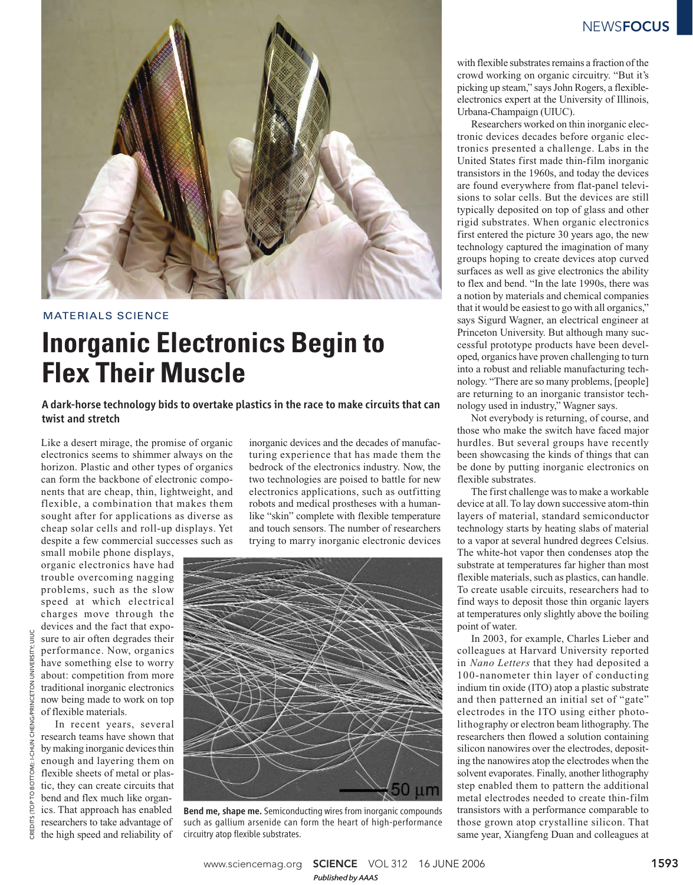## **NEWSFOCUS**



## MATERIALS SCIENCE

## **Inorganic Electronics Begin to Flex Their Muscle**

A dark-horse technology bids to overtake plastics in the race to make circuits that can twist and stretch

Like a desert mirage, the promise of organic electronics seems to shimmer always on the horizon. Plastic and other types of organics can form the backbone of electronic components that are cheap, thin, lightweight, and flexible, a combination that makes them sought after for applications as diverse as cheap solar cells and roll-up displays. Yet despite a few commercial successes such as

small mobile phone displays, organic electronics have had trouble overcoming nagging problems, such as the slow speed at which electrical charges move through the devices and the fact that exposure to air often degrades their performance. Now, organics have something else to worry about: competition from more traditional inorganic electronics now being made to work on top of flexible materials.

UIUC

UNIVERSITY

In recent years, several research teams have shown that by making inorganic devices thin enough and layering them on flexible sheets of metal or plastic, they can create circuits that bend and flex much like organics. That approach has enabled researchers to take advantage of the high speed and reliability of

inorganic devices and the decades of manufacturing experience that has made them the bedrock of the electronics industry. Now, the two technologies are poised to battle for new electronics applications, such as outfitting robots and medical prostheses with a humanlike "skin" complete with flexible temperature and touch sensors. The number of researchers trying to marry inorganic electronic devices



Bend me, shape me. Semiconducting wires from inorganic compounds such as gallium arsenide can form the heart of high-performance circuitry atop flexible substrates.

with flexible substrates remains a fraction of the crowd working on organic circuitry. "But it's picking up steam," says John Rogers, a flexibleelectronics expert at the University of Illinois, Urbana-Champaign (UIUC).

Researchers worked on thin inorganic electronic devices decades before organic electronics presented a challenge. Labs in the United States first made thin-film inorganic transistors in the 1960s, and today the devices are found everywhere from flat-panel televisions to solar cells. But the devices are still typically deposited on top of glass and other rigid substrates. When organic electronics first entered the picture 30 years ago, the new technology captured the imagination of many groups hoping to create devices atop curved surfaces as well as give electronics the ability to flex and bend. "In the late 1990s, there was a notion by materials and chemical companies that it would be easiest to go with all organics," says Sigurd Wagner, an electrical engineer at Princeton University. But although many successful prototype products have been developed, organics have proven challenging to turn into a robust and reliable manufacturing technology. "There are so many problems, [people] are returning to an inorganic transistor technology used in industry," Wagner says.

Not everybody is returning, of course, and those who make the switch have faced major hurdles. But several groups have recently been showcasing the kinds of things that can be done by putting inorganic electronics on flexible substrates.

The first challenge was to make a workable device at all. To lay down successive atom-thin layers of material, standard semiconductor technology starts by heating slabs of material to a vapor at several hundred degrees Celsius. The white-hot vapor then condenses atop the substrate at temperatures far higher than most flexible materials, such as plastics, can handle. To create usable circuits, researchers had to find ways to deposit those thin organic layers at temperatures only slightly above the boiling point of water.

In 2003, for example, Charles Lieber and colleagues at Harvard University reported in *Nano Letters* that they had deposited a 100-nanometer thin layer of conducting indium tin oxide (ITO) atop a plastic substrate and then patterned an initial set of "gate" electrodes in the ITO using either photolithography or electron beam lithography. The researchers then flowed a solution containing silicon nanowires over the electrodes, depositing the nanowires atop the electrodes when the solvent evaporates. Finally, another lithography step enabled them to pattern the additional metal electrodes needed to create thin-film transistors with a performance comparable to those grown atop crystalline silicon. That same year, Xiangfeng Duan and colleagues at